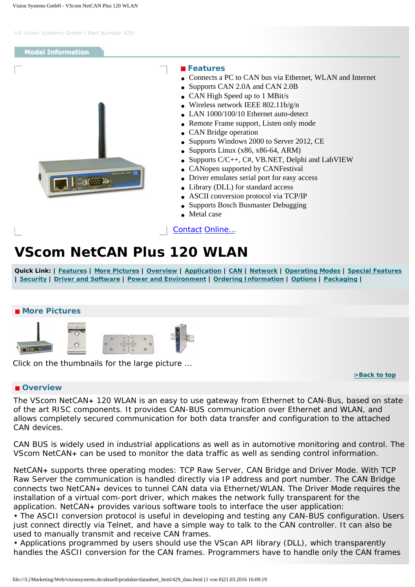<span id="page-0-3"></span><span id="page-0-0"></span>

# **VScom NetCAN Plus 120 WLAN**

Quick Link: | [Features](#page-0-0) | [More Pictures](#page-0-1) | [Overview](#page-0-2) | [Application](#page-1-0) | [CAN](#page-1-1) | [Network](#page-1-2) | [Operating Modes](#page-1-3) | [Special Features](#page-1-4) **| [Security](#page-2-0) | [Driver and Software](#page-2-1) | [Power and Environment](#page-2-2) | [Ordering Information](#page-2-3) | [Options](#page-3-0) | [Packaging](#page-3-1) |**

# <span id="page-0-1"></span> **More Pictures**



Click on the thumbnails for the large picture …

**[>Back to top](#page-0-3)** 

# <span id="page-0-2"></span> **Overview**

The VScom NetCAN**+** 120 WLAN is an easy to use gateway from Ethernet to CAN-Bus, based on state of the art RISC components. It provides CAN-BUS communication over Ethernet and WLAN, and allows completely secured communication for both data transfer and configuration to the attached CAN devices.

CAN BUS is widely used in industrial applications as well as in automotive monitoring and control. The VScom NetCAN**+** can be used to monitor the data traffic as well as sending control information.

NetCAN**+** supports three operating modes: TCP Raw Server, CAN Bridge and Driver Mode. With TCP Raw Server the communication is handled directly via IP address and port number. The CAN Bridge connects two NetCAN**+** devices to tunnel CAN data via Ethernet/WLAN. The Driver Mode requires the installation of a virtual com-port driver, which makes the network fully transparent for the application. NetCAN**+** provides various software tools to interface the user application:

• The ASCII conversion protocol is useful in developing and testing any CAN-BUS configuration. Users just connect directly via Telnet, and have a simple way to talk to the CAN controller. It can also be used to manually transmit and receive CAN frames.

• Applications programmed by users should use the VScan API library (DLL), which transparently handles the ASCII conversion for the CAN frames. Programmers have to handle only the CAN frames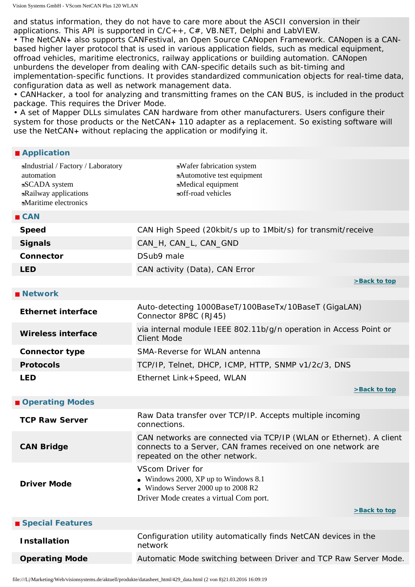and status information, they do not have to care more about the ASCII conversion in their applications. This API is supported in  $C/C++$ ,  $C#$ , VB.NET, Delphi and LabVIEW.

• The NetCAN**+** also supports CANFestival, an Open Source CANopen Framework. CANopen is a CANbased higher layer protocol that is used in various application fields, such as medical equipment, offroad vehicles, maritime electronics, railway applications or building automation. CANopen unburdens the developer from dealing with CAN-specific details such as bit-timing and implementation-specific functions. It provides standardized communication objects for real-time data, configuration data as well as network management data.

• CANHacker, a tool for analyzing and transmitting frames on the CAN BUS, is included in the product package. This requires the Driver Mode.

• A set of Mapper DLLs simulates CAN hardware from other manufacturers. Users configure their system for those products or the NetCAN**+** 110 adapter as a replacement. So existing software will use the NetCAN**+** without replacing the application or modifying it.

#### <span id="page-1-0"></span> **Application**

<span id="page-1-4"></span><span id="page-1-3"></span><span id="page-1-2"></span><span id="page-1-1"></span>

| Industrial / Factory / Laboratory<br>automation<br>SCADA system<br>Railway applications<br><b>Maritime electronics</b> | Wafer fabrication system<br>Automotive test equipment<br>Medical equipment<br>noff-road vehicles                                                                     |
|------------------------------------------------------------------------------------------------------------------------|----------------------------------------------------------------------------------------------------------------------------------------------------------------------|
| CAN                                                                                                                    |                                                                                                                                                                      |
| <b>Speed</b>                                                                                                           | CAN High Speed (20kbit/s up to 1Mbit/s) for transmit/receive                                                                                                         |
| <b>Signals</b>                                                                                                         | CAN_H, CAN_L, CAN_GND                                                                                                                                                |
| Connector                                                                                                              | DSub9 male                                                                                                                                                           |
| <b>LED</b>                                                                                                             | CAN activity (Data), CAN Error                                                                                                                                       |
|                                                                                                                        | >Back to top                                                                                                                                                         |
| <b>Network</b>                                                                                                         |                                                                                                                                                                      |
| <b>Ethernet interface</b>                                                                                              | Auto-detecting 1000BaseT/100BaseTx/10BaseT (GigaLAN)<br>Connector 8P8C (RJ45)                                                                                        |
| <b>Wireless interface</b>                                                                                              | via internal module IEEE 802.11b/g/n operation in Access Point or<br><b>Client Mode</b>                                                                              |
| <b>Connector type</b>                                                                                                  | SMA-Reverse for WLAN antenna                                                                                                                                         |
| <b>Protocols</b>                                                                                                       | TCP/IP, Telnet, DHCP, ICMP, HTTP, SNMP v1/2c/3, DNS                                                                                                                  |
| <b>LED</b>                                                                                                             | Ethernet Link+Speed, WLAN<br>>Back to top                                                                                                                            |
| Operating Modes                                                                                                        |                                                                                                                                                                      |
| <b>TCP Raw Server</b>                                                                                                  | Raw Data transfer over TCP/IP. Accepts multiple incoming<br>connections.                                                                                             |
| <b>CAN Bridge</b>                                                                                                      | CAN networks are connected via TCP/IP (WLAN or Ethernet). A client<br>connects to a Server, CAN frames received on one network are<br>repeated on the other network. |
| <b>Driver Mode</b>                                                                                                     | VScom Driver for<br>• Windows 2000, XP up to Windows $8.1$<br>Windows Server 2000 up to 2008 R2<br>Driver Mode creates a virtual Com port.                           |
|                                                                                                                        | >Back to top                                                                                                                                                         |
| ■ Special Features                                                                                                     |                                                                                                                                                                      |
| <b>Installation</b>                                                                                                    | Configuration utility automatically finds NetCAN devices in the<br>network                                                                                           |
| <b>Operating Mode</b>                                                                                                  | Automatic Mode switching between Driver and TCP Raw Server Mode.                                                                                                     |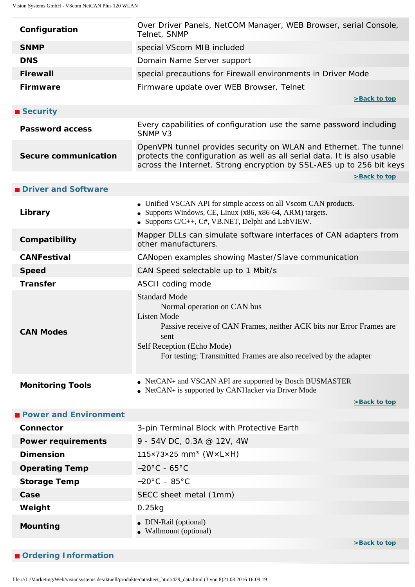<span id="page-2-3"></span><span id="page-2-2"></span><span id="page-2-1"></span><span id="page-2-0"></span>

| Configuration                | Over Driver Panels, NetCOM Manager, WEB Browser, serial Console,<br>Telnet, SNMP                                                                                                                                                                            |  |  |
|------------------------------|-------------------------------------------------------------------------------------------------------------------------------------------------------------------------------------------------------------------------------------------------------------|--|--|
| <b>SNMP</b>                  | special VScom MIB included                                                                                                                                                                                                                                  |  |  |
| <b>DNS</b>                   | Domain Name Server support                                                                                                                                                                                                                                  |  |  |
| <b>Firewall</b>              | special precautions for Firewall environments in Driver Mode                                                                                                                                                                                                |  |  |
| <b>Firmware</b>              | Firmware update over WEB Browser, Telnet<br>>Back to top                                                                                                                                                                                                    |  |  |
| ■ Security                   |                                                                                                                                                                                                                                                             |  |  |
| <b>Password access</b>       | Every capabilities of configuration use the same password including<br>SNMP V3                                                                                                                                                                              |  |  |
| <b>Secure communication</b>  | OpenVPN tunnel provides security on WLAN and Ethernet. The tunnel<br>protects the configuration as well as all serial data. It is also usable<br>across the Internet. Strong encryption by SSL-AES up to 256 bit keys                                       |  |  |
|                              | >Back to top                                                                                                                                                                                                                                                |  |  |
| Driver and Software          |                                                                                                                                                                                                                                                             |  |  |
| Library                      | • Unified VSCAN API for simple access on all Vscom CAN products.<br>• Supports Windows, CE, Linux (x86, x86-64, ARM) targets.<br>• Supports $C/C++$ , $C#$ , VB.NET, Delphi and LabVIEW.                                                                    |  |  |
| Compatibility                | Mapper DLLs can simulate software interfaces of CAN adapters from<br>other manufacturers.                                                                                                                                                                   |  |  |
| <b>CANFestival</b>           | CANopen examples showing Master/Slave communication                                                                                                                                                                                                         |  |  |
| <b>Speed</b>                 | CAN Speed selectable up to 1 Mbit/s                                                                                                                                                                                                                         |  |  |
| <b>Transfer</b>              | ASCII coding mode                                                                                                                                                                                                                                           |  |  |
| <b>CAN Modes</b>             | <b>Standard Mode</b><br>Normal operation on CAN bus<br><b>Listen Mode</b><br>Passive receive of CAN Frames, neither ACK bits nor Error Frames are<br>sent<br>Self Reception (Echo Mode)<br>For testing: Transmitted Frames are also received by the adapter |  |  |
| <b>Monitoring Tools</b>      | • NetCAN+ and VSCAN API are supported by Bosch BUSMASTER<br>NetCAN+ is supported by CANHacker via Driver Mode<br>>Back to top                                                                                                                               |  |  |
| <b>Power and Environment</b> |                                                                                                                                                                                                                                                             |  |  |
| Connector                    | 3-pin Terminal Block with Protective Earth                                                                                                                                                                                                                  |  |  |
| <b>Power requirements</b>    | 9 - 54V DC, 0.3A @ 12V, 4W                                                                                                                                                                                                                                  |  |  |
| <b>Dimension</b>             | $115\times73\times25$ mm <sup>3</sup> (WxLxH)                                                                                                                                                                                                               |  |  |
| <b>Operating Temp</b>        | $-20^{\circ}$ C - 65 $^{\circ}$ C                                                                                                                                                                                                                           |  |  |
| <b>Storage Temp</b>          | $-20^{\circ}$ C $-85^{\circ}$ C                                                                                                                                                                                                                             |  |  |
| Case                         | SECC sheet metal (1mm)                                                                                                                                                                                                                                      |  |  |
| Weight                       | $0.25$ kg                                                                                                                                                                                                                                                   |  |  |
|                              |                                                                                                                                                                                                                                                             |  |  |
| <b>Mounting</b>              | • DIN-Rail (optional)<br>• Wallmount (optional)                                                                                                                                                                                                             |  |  |
|                              | >Back to top                                                                                                                                                                                                                                                |  |  |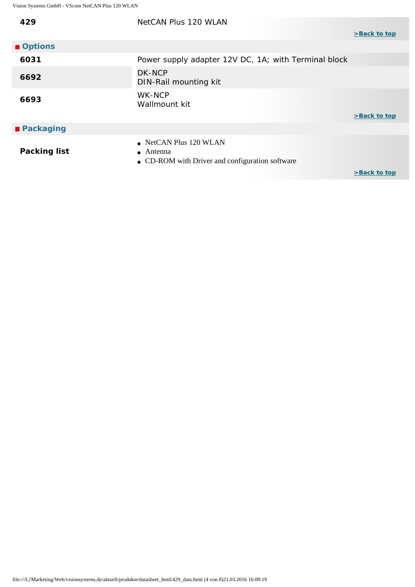<span id="page-3-1"></span><span id="page-3-0"></span>

| 429                 | NetCAN Plus 120 WLAN                                                                                   |              |
|---------------------|--------------------------------------------------------------------------------------------------------|--------------|
|                     |                                                                                                        | >Back to top |
| Options             |                                                                                                        |              |
| 6031                | Power supply adapter 12V DC, 1A; with Terminal block                                                   |              |
| 6692                | DK-NCP<br>DIN-Rail mounting kit                                                                        |              |
| 6693                | WK-NCP<br>Wallmount kit                                                                                |              |
|                     |                                                                                                        | >Back to top |
| <b>■ Packaging</b>  |                                                                                                        |              |
| <b>Packing list</b> | $\bullet$ NetCAN Plus 120 WLAN<br>$\bullet$ Antenna<br>• CD-ROM with Driver and configuration software |              |

**[>Back to top](#page-0-3)**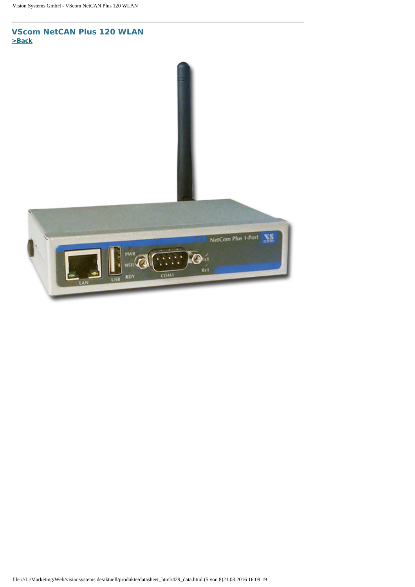**VScom NetCAN Plus 120 WLAN [>Back](#page-0-1)** 

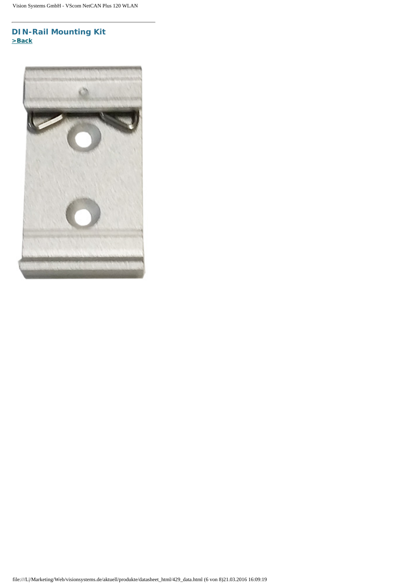# **DIN-Rail Mounting Kit [>Back](#page-0-1)**

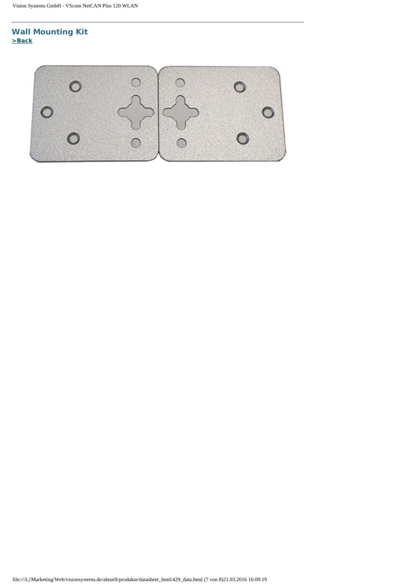